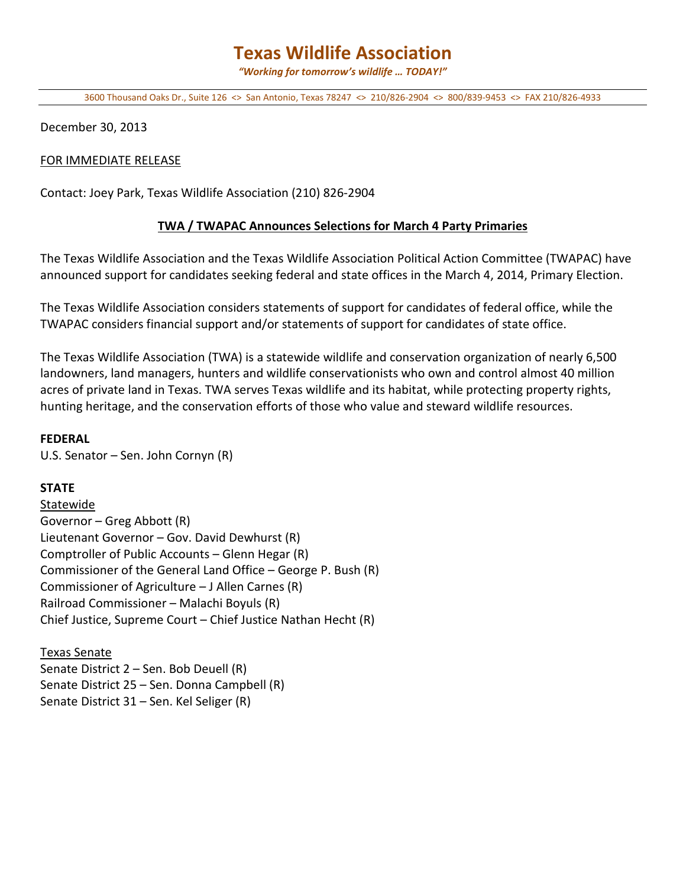# **Texas Wildlife Association**

*"Working for tomorrow's wildlife … TODAY!"*

3600 Thousand Oaks Dr., Suite 126 <> San Antonio, Texas 78247 <> 210/826-2904 <> 800/839-9453 <> FAX 210/826-4933

December 30, 2013

#### FOR IMMEDIATE RELEASE

Contact: Joey Park, Texas Wildlife Association (210) 826-2904

## **TWA / TWAPAC Announces Selections for March 4 Party Primaries**

The Texas Wildlife Association and the Texas Wildlife Association Political Action Committee (TWAPAC) have announced support for candidates seeking federal and state offices in the March 4, 2014, Primary Election.

The Texas Wildlife Association considers statements of support for candidates of federal office, while the TWAPAC considers financial support and/or statements of support for candidates of state office.

The Texas Wildlife Association (TWA) is a statewide wildlife and conservation organization of nearly 6,500 landowners, land managers, hunters and wildlife conservationists who own and control almost 40 million acres of private land in Texas. TWA serves Texas wildlife and its habitat, while protecting property rights, hunting heritage, and the conservation efforts of those who value and steward wildlife resources.

#### **FEDERAL**

U.S. Senator – Sen. John Cornyn (R)

## **STATE**

Statewide Governor – Greg Abbott (R) Lieutenant Governor – Gov. David Dewhurst (R) Comptroller of Public Accounts – Glenn Hegar (R) Commissioner of the General Land Office – George P. Bush (R) Commissioner of Agriculture – J Allen Carnes (R) Railroad Commissioner – Malachi Boyuls (R) Chief Justice, Supreme Court – Chief Justice Nathan Hecht (R)

Texas Senate Senate District 2 – Sen. Bob Deuell (R) Senate District 25 – Sen. Donna Campbell (R) Senate District 31 – Sen. Kel Seliger (R)